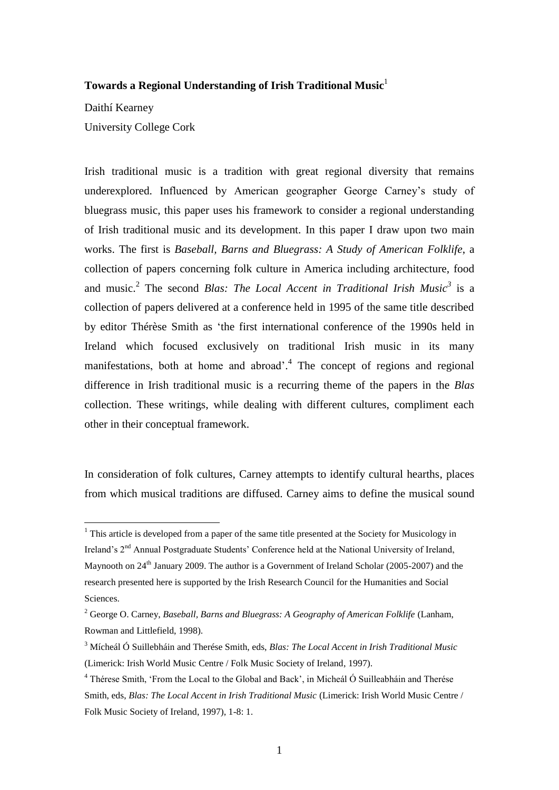# **Towards a Regional Understanding of Irish Traditional Music**<sup>1</sup>

Daithí Kearney University College Cork

<u>.</u>

Irish traditional music is a tradition with great regional diversity that remains underexplored. Influenced by American geographer George Carney"s study of bluegrass music, this paper uses his framework to consider a regional understanding of Irish traditional music and its development. In this paper I draw upon two main works. The first is *Baseball, Barns and Bluegrass: A Study of American Folklife*, a collection of papers concerning folk culture in America including architecture, food and music.<sup>2</sup> The second *Blas: The Local Accent in Traditional Irish Music*<sup>3</sup> is a collection of papers delivered at a conference held in 1995 of the same title described by editor Thérèse Smith as "the first international conference of the 1990s held in Ireland which focused exclusively on traditional Irish music in its many manifestations, both at home and abroad'.<sup>4</sup> The concept of regions and regional difference in Irish traditional music is a recurring theme of the papers in the *Blas* collection. These writings, while dealing with different cultures, compliment each other in their conceptual framework.

In consideration of folk cultures, Carney attempts to identify cultural hearths, places from which musical traditions are diffused. Carney aims to define the musical sound

 $1$  This article is developed from a paper of the same title presented at the Society for Musicology in Ireland's 2<sup>nd</sup> Annual Postgraduate Students' Conference held at the National University of Ireland, Maynooth on 24<sup>th</sup> January 2009. The author is a Government of Ireland Scholar (2005-2007) and the research presented here is supported by the Irish Research Council for the Humanities and Social Sciences.

<sup>2</sup> George O. Carney, *Baseball, Barns and Bluegrass: A Geography of American Folklife* (Lanham, Rowman and Littlefield, 1998).

<sup>3</sup> Mícheál Ó Suillebháin and Therése Smith, eds, *Blas: The Local Accent in Irish Traditional Music* (Limerick: Irish World Music Centre / Folk Music Society of Ireland, 1997).

<sup>4</sup> Thérese Smith, "From the Local to the Global and Back", in Micheál Ó Suilleabháin and Therése Smith, eds, *Blas: The Local Accent in Irish Traditional Music* (Limerick: Irish World Music Centre / Folk Music Society of Ireland, 1997), 1-8: 1.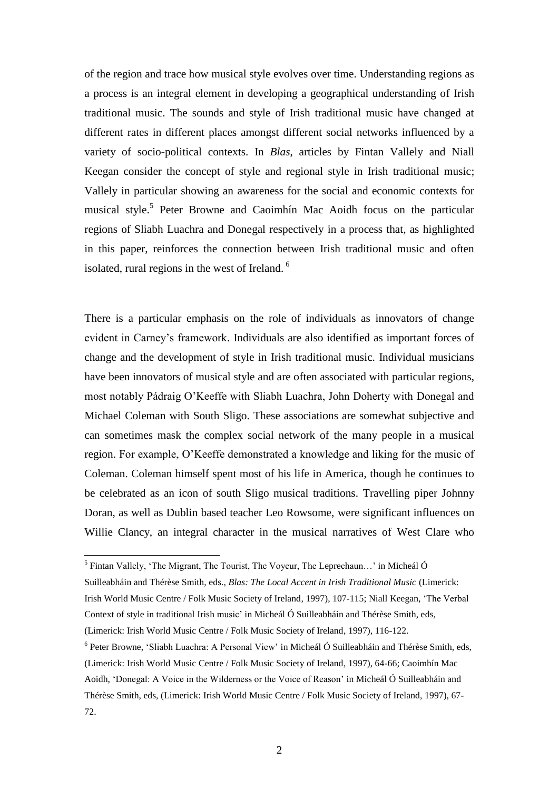of the region and trace how musical style evolves over time. Understanding regions as a process is an integral element in developing a geographical understanding of Irish traditional music. The sounds and style of Irish traditional music have changed at different rates in different places amongst different social networks influenced by a variety of socio-political contexts. In *Blas*, articles by Fintan Vallely and Niall Keegan consider the concept of style and regional style in Irish traditional music; Vallely in particular showing an awareness for the social and economic contexts for musical style.<sup>5</sup> Peter Browne and Caoimhín Mac Aoidh focus on the particular regions of Sliabh Luachra and Donegal respectively in a process that, as highlighted in this paper, reinforces the connection between Irish traditional music and often isolated, rural regions in the west of Ireland.<sup>6</sup>

There is a particular emphasis on the role of individuals as innovators of change evident in Carney"s framework. Individuals are also identified as important forces of change and the development of style in Irish traditional music. Individual musicians have been innovators of musical style and are often associated with particular regions, most notably Pádraig O"Keeffe with Sliabh Luachra, John Doherty with Donegal and Michael Coleman with South Sligo. These associations are somewhat subjective and can sometimes mask the complex social network of the many people in a musical region. For example, O"Keeffe demonstrated a knowledge and liking for the music of Coleman. Coleman himself spent most of his life in America, though he continues to be celebrated as an icon of south Sligo musical traditions. Travelling piper Johnny Doran, as well as Dublin based teacher Leo Rowsome, were significant influences on Willie Clancy, an integral character in the musical narratives of West Clare who

 $<sup>5</sup>$  Fintan Vallely, 'The Migrant, The Tourist, The Voyeur, The Leprechaun...' in Micheál Ó</sup>

Suilleabháin and Thérèse Smith, eds., *Blas: The Local Accent in Irish Traditional Music* (Limerick: Irish World Music Centre / Folk Music Society of Ireland, 1997), 107-115; Niall Keegan, "The Verbal Context of style in traditional Irish music" in Micheál Ó Suilleabháin and Thérèse Smith, eds,

<sup>(</sup>Limerick: Irish World Music Centre / Folk Music Society of Ireland, 1997), 116-122.

<sup>&</sup>lt;sup>6</sup> Peter Browne, 'Sliabh Luachra: A Personal View' in Micheál Ó Suilleabháin and Thérèse Smith, eds, (Limerick: Irish World Music Centre / Folk Music Society of Ireland, 1997), 64-66; Caoimhín Mac Aoidh, "Donegal: A Voice in the Wilderness or the Voice of Reason" in Micheál Ó Suilleabháin and Thérèse Smith, eds, (Limerick: Irish World Music Centre / Folk Music Society of Ireland, 1997), 67- 72.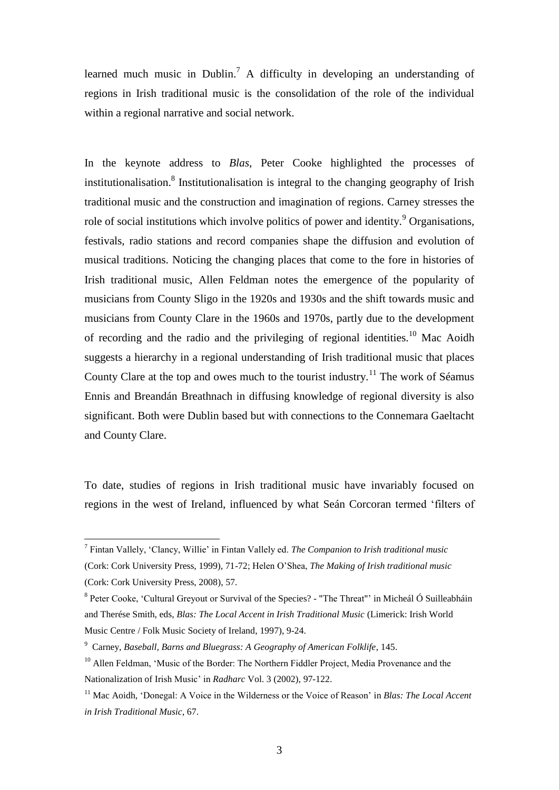learned much music in Dublin.<sup>7</sup> A difficulty in developing an understanding of regions in Irish traditional music is the consolidation of the role of the individual within a regional narrative and social network.

In the keynote address to *Blas*, Peter Cooke highlighted the processes of institutionalisation.<sup>8</sup> Institutionalisation is integral to the changing geography of Irish traditional music and the construction and imagination of regions. Carney stresses the role of social institutions which involve politics of power and identity.<sup>9</sup> Organisations, festivals, radio stations and record companies shape the diffusion and evolution of musical traditions. Noticing the changing places that come to the fore in histories of Irish traditional music, Allen Feldman notes the emergence of the popularity of musicians from County Sligo in the 1920s and 1930s and the shift towards music and musicians from County Clare in the 1960s and 1970s, partly due to the development of recording and the radio and the privileging of regional identities.<sup>10</sup> Mac Aoidh suggests a hierarchy in a regional understanding of Irish traditional music that places County Clare at the top and owes much to the tourist industry.<sup>11</sup> The work of Séamus Ennis and Breandán Breathnach in diffusing knowledge of regional diversity is also significant. Both were Dublin based but with connections to the Connemara Gaeltacht and County Clare.

To date, studies of regions in Irish traditional music have invariably focused on regions in the west of Ireland, influenced by what Seán Corcoran termed "filters of

 7 Fintan Vallely, "Clancy, Willie" in Fintan Vallely ed. *The Companion to Irish traditional music* (Cork: Cork University Press, 1999), 71-72; Helen O"Shea, *The Making of Irish traditional music* (Cork: Cork University Press, 2008), 57.

<sup>&</sup>lt;sup>8</sup> Peter Cooke, 'Cultural Greyout or Survival of the Species? - "The Threat"' in Micheál Ó Suilleabháin and Therése Smith, eds, *Blas: The Local Accent in Irish Traditional Music* (Limerick: Irish World Music Centre / Folk Music Society of Ireland, 1997), 9-24.

<sup>9</sup> Carney, *Baseball, Barns and Bluegrass: A Geography of American Folklife*, 145.

<sup>&</sup>lt;sup>10</sup> Allen Feldman, 'Music of the Border: The Northern Fiddler Project, Media Provenance and the Nationalization of Irish Music" in *Radharc* Vol. 3 (2002), 97-122.

<sup>&</sup>lt;sup>11</sup> Mac Aoidh, 'Donegal: A Voice in the Wilderness or the Voice of Reason' in *Blas: The Local Accent in Irish Traditional Music*, 67.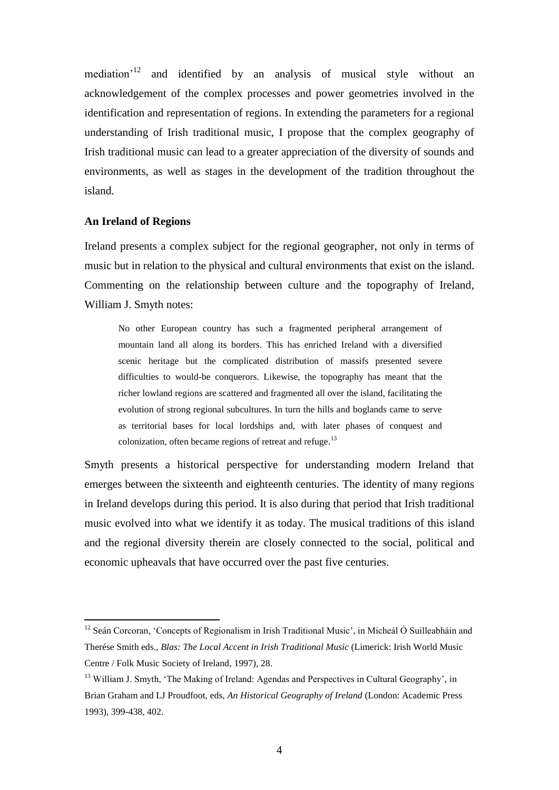mediation<sup>'12</sup> and identified by an analysis of musical style without an acknowledgement of the complex processes and power geometries involved in the identification and representation of regions. In extending the parameters for a regional understanding of Irish traditional music, I propose that the complex geography of Irish traditional music can lead to a greater appreciation of the diversity of sounds and environments, as well as stages in the development of the tradition throughout the island.

### **An Ireland of Regions**

<u>.</u>

Ireland presents a complex subject for the regional geographer, not only in terms of music but in relation to the physical and cultural environments that exist on the island. Commenting on the relationship between culture and the topography of Ireland, William J. Smyth notes:

No other European country has such a fragmented peripheral arrangement of mountain land all along its borders. This has enriched Ireland with a diversified scenic heritage but the complicated distribution of massifs presented severe difficulties to would-be conquerors. Likewise, the topography has meant that the richer lowland regions are scattered and fragmented all over the island, facilitating the evolution of strong regional subcultures. In turn the hills and boglands came to serve as territorial bases for local lordships and, with later phases of conquest and colonization, often became regions of retreat and refuge.<sup>13</sup>

Smyth presents a historical perspective for understanding modern Ireland that emerges between the sixteenth and eighteenth centuries. The identity of many regions in Ireland develops during this period. It is also during that period that Irish traditional music evolved into what we identify it as today. The musical traditions of this island and the regional diversity therein are closely connected to the social, political and economic upheavals that have occurred over the past five centuries.

<sup>&</sup>lt;sup>12</sup> Seán Corcoran, 'Concepts of Regionalism in Irish Traditional Music', in Micheál Ó Suilleabháin and Therése Smith eds., *Blas: The Local Accent in Irish Traditional Music* (Limerick: Irish World Music Centre / Folk Music Society of Ireland, 1997), 28.

<sup>&</sup>lt;sup>13</sup> William J. Smyth, 'The Making of Ireland: Agendas and Perspectives in Cultural Geography', in Brian Graham and LJ Proudfoot, eds, *An Historical Geography of Ireland* (London: Academic Press 1993), 399-438, 402.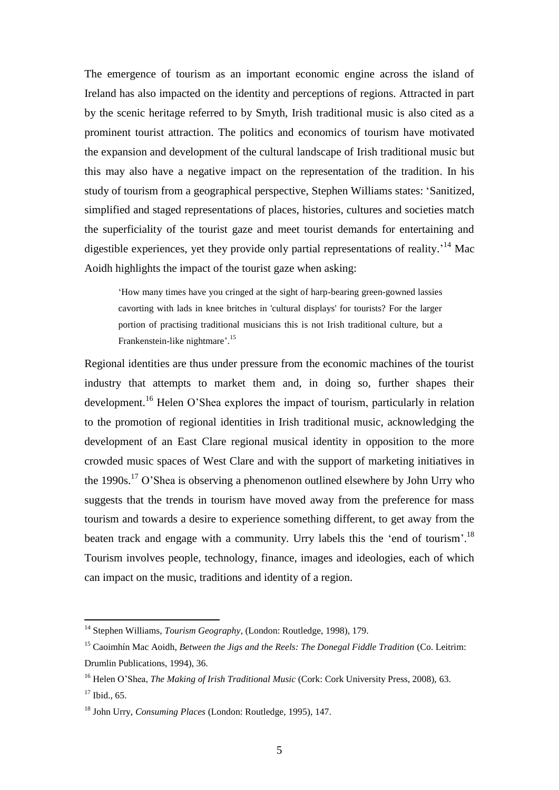The emergence of tourism as an important economic engine across the island of Ireland has also impacted on the identity and perceptions of regions. Attracted in part by the scenic heritage referred to by Smyth, Irish traditional music is also cited as a prominent tourist attraction. The politics and economics of tourism have motivated the expansion and development of the cultural landscape of Irish traditional music but this may also have a negative impact on the representation of the tradition. In his study of tourism from a geographical perspective, Stephen Williams states: "Sanitized, simplified and staged representations of places, histories, cultures and societies match the superficiality of the tourist gaze and meet tourist demands for entertaining and digestible experiences, yet they provide only partial representations of reality.<sup>14</sup> Mac Aoidh highlights the impact of the tourist gaze when asking:

"How many times have you cringed at the sight of harp-bearing green-gowned lassies cavorting with lads in knee britches in 'cultural displays' for tourists? For the larger portion of practising traditional musicians this is not Irish traditional culture, but a Frankenstein-like nightmare'.<sup>15</sup>

Regional identities are thus under pressure from the economic machines of the tourist industry that attempts to market them and, in doing so, further shapes their development.<sup>16</sup> Helen O'Shea explores the impact of tourism, particularly in relation to the promotion of regional identities in Irish traditional music, acknowledging the development of an East Clare regional musical identity in opposition to the more crowded music spaces of West Clare and with the support of marketing initiatives in the 1990s.<sup>17</sup> O'Shea is observing a phenomenon outlined elsewhere by John Urry who suggests that the trends in tourism have moved away from the preference for mass tourism and towards a desire to experience something different, to get away from the beaten track and engage with a community. Urry labels this the 'end of tourism'.<sup>18</sup> Tourism involves people, technology, finance, images and ideologies, each of which can impact on the music, traditions and identity of a region.

<sup>14</sup> Stephen Williams, *Tourism Geography*, (London: Routledge, 1998), 179.

<sup>15</sup> Caoimhín Mac Aoidh, *Between the Jigs and the Reels: The Donegal Fiddle Tradition* (Co. Leitrim: Drumlin Publications, 1994), 36.

<sup>&</sup>lt;sup>16</sup> Helen O'Shea, *The Making of Irish Traditional Music* (Cork: Cork University Press, 2008), 63.  $17$  Ibid., 65.

<sup>18</sup> John Urry, *Consuming Places* (London: Routledge, 1995), 147.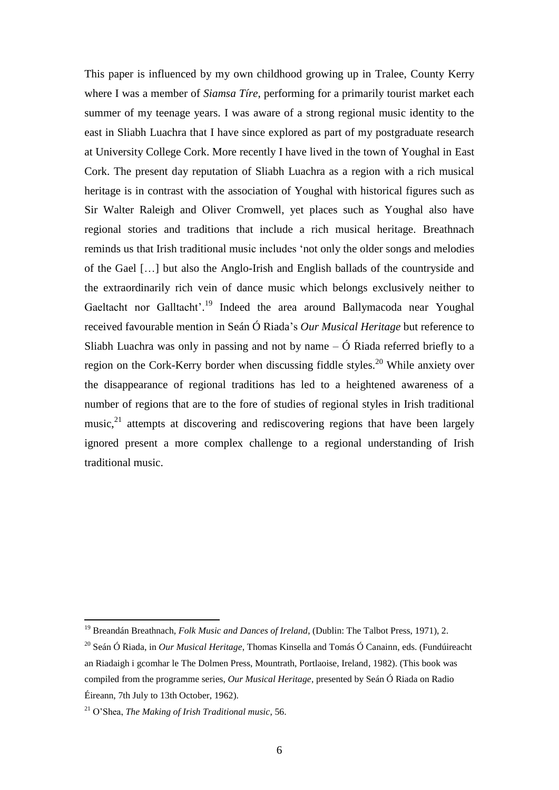This paper is influenced by my own childhood growing up in Tralee, County Kerry where I was a member of *Siamsa Tíre*, performing for a primarily tourist market each summer of my teenage years. I was aware of a strong regional music identity to the east in Sliabh Luachra that I have since explored as part of my postgraduate research at University College Cork. More recently I have lived in the town of Youghal in East Cork. The present day reputation of Sliabh Luachra as a region with a rich musical heritage is in contrast with the association of Youghal with historical figures such as Sir Walter Raleigh and Oliver Cromwell, yet places such as Youghal also have regional stories and traditions that include a rich musical heritage. Breathnach reminds us that Irish traditional music includes "not only the older songs and melodies of the Gael […] but also the Anglo-Irish and English ballads of the countryside and the extraordinarily rich vein of dance music which belongs exclusively neither to Gaeltacht nor Galltacht'.<sup>19</sup> Indeed the area around Ballymacoda near Youghal received favourable mention in Seán Ó Riada"s *Our Musical Heritage* but reference to Sliabh Luachra was only in passing and not by name  $-\acute{O}$  Riada referred briefly to a region on the Cork-Kerry border when discussing fiddle styles.<sup>20</sup> While anxiety over the disappearance of regional traditions has led to a heightened awareness of a number of regions that are to the fore of studies of regional styles in Irish traditional music, $^{21}$  attempts at discovering and rediscovering regions that have been largely ignored present a more complex challenge to a regional understanding of Irish traditional music.

<sup>19</sup> Breandán Breathnach, *Folk Music and Dances of Ireland*, (Dublin: The Talbot Press, 1971), 2.

<sup>20</sup> Seán Ó Riada, in *Our Musical Heritage*, Thomas Kinsella and Tomás Ó Canainn, eds. (Fundúireacht an Riadaigh i gcomhar le The Dolmen Press, Mountrath, Portlaoise, Ireland, 1982). (This book was compiled from the programme series, *Our Musical Heritage*, presented by Seán Ó Riada on Radio Éireann, 7th July to 13th October, 1962).

<sup>21</sup> O"Shea, *The Making of Irish Traditional music*, 56.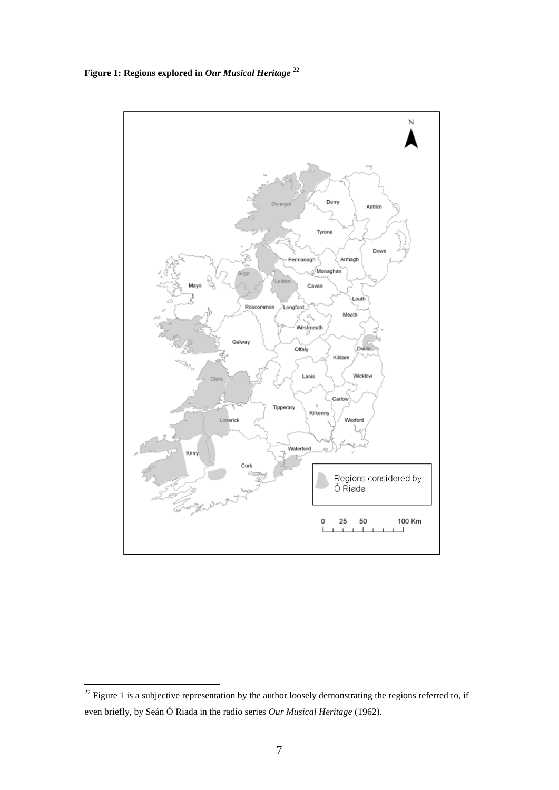**Figure 1: Regions explored in** *Our Musical Heritage* <sup>22</sup>



 $^{22}$  Figure 1 is a subjective representation by the author loosely demonstrating the regions referred to, if even briefly, by Seán Ó Riada in the radio series *Our Musical Heritage* (1962).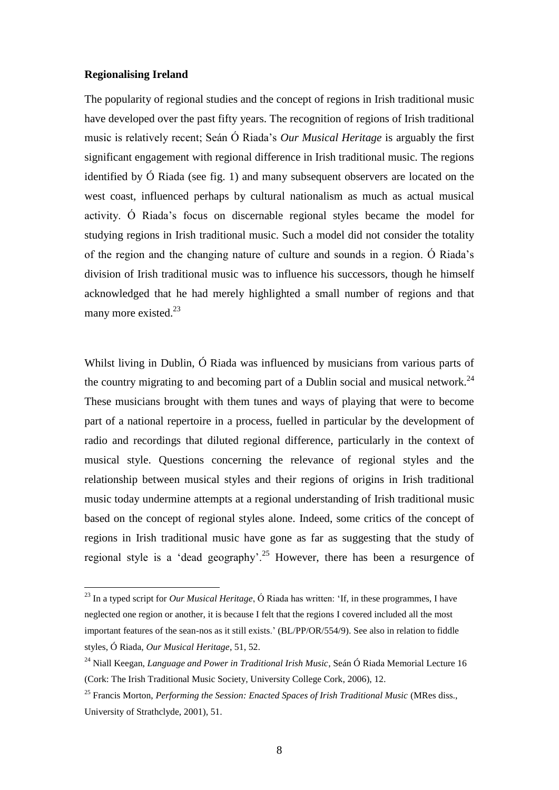## **Regionalising Ireland**

<u>.</u>

The popularity of regional studies and the concept of regions in Irish traditional music have developed over the past fifty years. The recognition of regions of Irish traditional music is relatively recent; Seán Ó Riada"s *Our Musical Heritage* is arguably the first significant engagement with regional difference in Irish traditional music. The regions identified by Ó Riada (see fig. 1) and many subsequent observers are located on the west coast, influenced perhaps by cultural nationalism as much as actual musical activity. Ó Riada"s focus on discernable regional styles became the model for studying regions in Irish traditional music. Such a model did not consider the totality of the region and the changing nature of culture and sounds in a region. Ó Riada"s division of Irish traditional music was to influence his successors, though he himself acknowledged that he had merely highlighted a small number of regions and that many more existed. $^{23}$ 

Whilst living in Dublin, Ó Riada was influenced by musicians from various parts of the country migrating to and becoming part of a Dublin social and musical network.<sup>24</sup> These musicians brought with them tunes and ways of playing that were to become part of a national repertoire in a process, fuelled in particular by the development of radio and recordings that diluted regional difference, particularly in the context of musical style. Questions concerning the relevance of regional styles and the relationship between musical styles and their regions of origins in Irish traditional music today undermine attempts at a regional understanding of Irish traditional music based on the concept of regional styles alone. Indeed, some critics of the concept of regions in Irish traditional music have gone as far as suggesting that the study of regional style is a 'dead geography'.<sup>25</sup> However, there has been a resurgence of

<sup>23</sup> In a typed script for *Our Musical Heritage*, Ó Riada has written: "If, in these programmes, I have neglected one region or another, it is because I felt that the regions I covered included all the most important features of the sean-nos as it still exists.' (BL/PP/OR/554/9). See also in relation to fiddle styles, Ó Riada, *Our Musical Heritage*, 51, 52.

<sup>24</sup> Niall Keegan, *Language and Power in Traditional Irish Music*, Seán Ó Riada Memorial Lecture 16 (Cork: The Irish Traditional Music Society, University College Cork, 2006), 12.

<sup>25</sup> Francis Morton, *Performing the Session: Enacted Spaces of Irish Traditional Music* (MRes diss., University of Strathclyde, 2001), 51.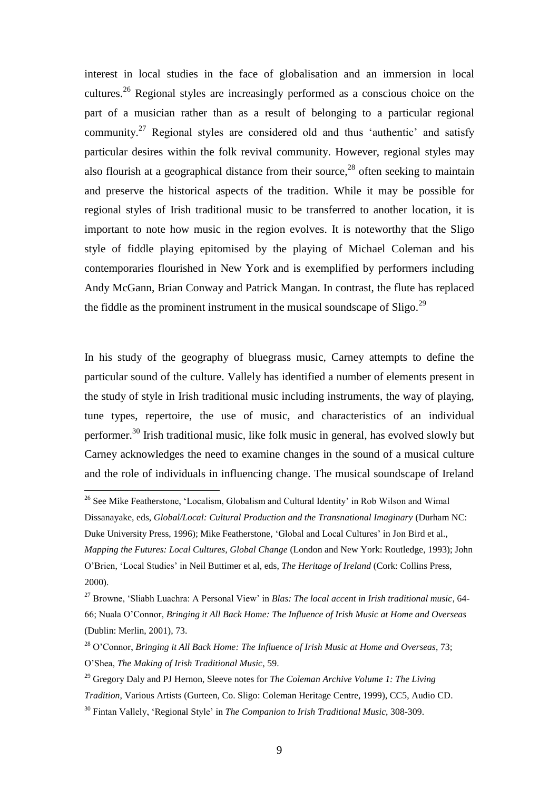interest in local studies in the face of globalisation and an immersion in local cultures.<sup>26</sup> Regional styles are increasingly performed as a conscious choice on the part of a musician rather than as a result of belonging to a particular regional community.<sup>27</sup> Regional styles are considered old and thus 'authentic' and satisfy particular desires within the folk revival community. However, regional styles may also flourish at a geographical distance from their source, $2<sup>8</sup>$  often seeking to maintain and preserve the historical aspects of the tradition. While it may be possible for regional styles of Irish traditional music to be transferred to another location, it is important to note how music in the region evolves. It is noteworthy that the Sligo style of fiddle playing epitomised by the playing of Michael Coleman and his contemporaries flourished in New York and is exemplified by performers including Andy McGann, Brian Conway and Patrick Mangan. In contrast, the flute has replaced the fiddle as the prominent instrument in the musical soundscape of  $\text{Sligo}^{29}$ 

In his study of the geography of bluegrass music, Carney attempts to define the particular sound of the culture. Vallely has identified a number of elements present in the study of style in Irish traditional music including instruments, the way of playing, tune types, repertoire, the use of music, and characteristics of an individual performer.<sup>30</sup> Irish traditional music, like folk music in general, has evolved slowly but Carney acknowledges the need to examine changes in the sound of a musical culture and the role of individuals in influencing change. The musical soundscape of Ireland

<sup>&</sup>lt;sup>26</sup> See Mike Featherstone, 'Localism, Globalism and Cultural Identity' in Rob Wilson and Wimal Dissanayake, eds, *Global/Local: Cultural Production and the Transnational Imaginary* (Durham NC: Duke University Press, 1996); Mike Featherstone, "Global and Local Cultures" in Jon Bird et al., *Mapping the Futures: Local Cultures, Global Change* (London and New York: Routledge, 1993); John O"Brien, "Local Studies" in Neil Buttimer et al, eds, *The Heritage of Ireland* (Cork: Collins Press, 2000).

<sup>27</sup> Browne, "Sliabh Luachra: A Personal View" in *Blas: The local accent in Irish traditional music*, 64- 66; Nuala O"Connor, *Bringing it All Back Home: The Influence of Irish Music at Home and Overseas*  (Dublin: Merlin, 2001), 73.

<sup>28</sup> O"Connor, *Bringing it All Back Home: The Influence of Irish Music at Home and Overseas*, 73; O"Shea, *The Making of Irish Traditional Music*, 59.

<sup>29</sup> Gregory Daly and PJ Hernon, Sleeve notes for *The Coleman Archive Volume 1: The Living Tradition*, Various Artists (Gurteen, Co. Sligo: Coleman Heritage Centre, 1999), CC5, Audio CD. <sup>30</sup> Fintan Vallely, "Regional Style" in *The Companion to Irish Traditional Music*, 308-309.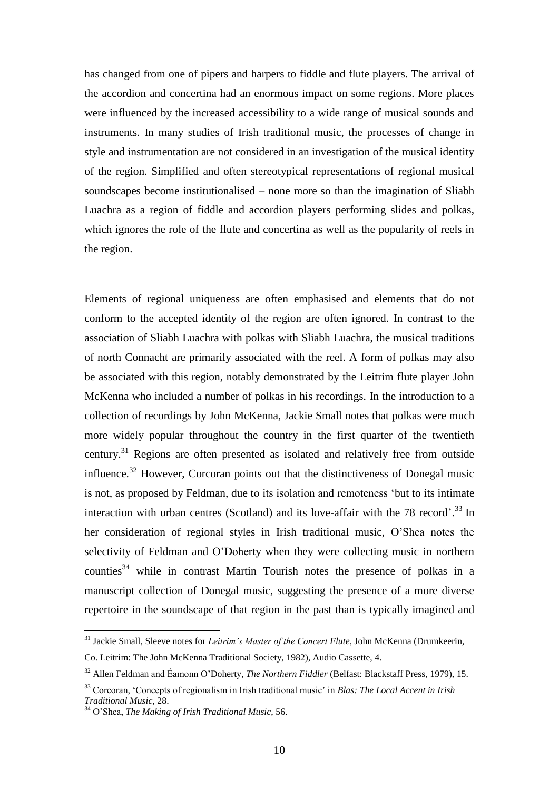has changed from one of pipers and harpers to fiddle and flute players. The arrival of the accordion and concertina had an enormous impact on some regions. More places were influenced by the increased accessibility to a wide range of musical sounds and instruments. In many studies of Irish traditional music, the processes of change in style and instrumentation are not considered in an investigation of the musical identity of the region. Simplified and often stereotypical representations of regional musical soundscapes become institutionalised – none more so than the imagination of Sliabh Luachra as a region of fiddle and accordion players performing slides and polkas, which ignores the role of the flute and concertina as well as the popularity of reels in the region.

Elements of regional uniqueness are often emphasised and elements that do not conform to the accepted identity of the region are often ignored. In contrast to the association of Sliabh Luachra with polkas with Sliabh Luachra, the musical traditions of north Connacht are primarily associated with the reel. A form of polkas may also be associated with this region, notably demonstrated by the Leitrim flute player John McKenna who included a number of polkas in his recordings. In the introduction to a collection of recordings by John McKenna, Jackie Small notes that polkas were much more widely popular throughout the country in the first quarter of the twentieth century.<sup>31</sup> Regions are often presented as isolated and relatively free from outside influence.<sup>32</sup> However, Corcoran points out that the distinctiveness of Donegal music is not, as proposed by Feldman, due to its isolation and remoteness "but to its intimate interaction with urban centres (Scotland) and its love-affair with the 78 record'.<sup>33</sup> In her consideration of regional styles in Irish traditional music, O"Shea notes the selectivity of Feldman and O"Doherty when they were collecting music in northern counties<sup>34</sup> while in contrast Martin Tourish notes the presence of polkas in a manuscript collection of Donegal music, suggesting the presence of a more diverse repertoire in the soundscape of that region in the past than is typically imagined and

<sup>&</sup>lt;sup>31</sup> Jackie Small, Sleeve notes for *Leitrim's Master of the Concert Flute*, John McKenna (Drumkeerin, Co. Leitrim: The John McKenna Traditional Society, 1982), Audio Cassette, 4.

<sup>32</sup> Allen Feldman and Éamonn O"Doherty, *The Northern Fiddler* (Belfast: Blackstaff Press, 1979), 15.

<sup>33</sup> Corcoran, "Concepts of regionalism in Irish traditional music" in *Blas: The Local Accent in Irish Traditional Music*, 28.

<sup>34</sup> O"Shea, *The Making of Irish Traditional Music*, 56.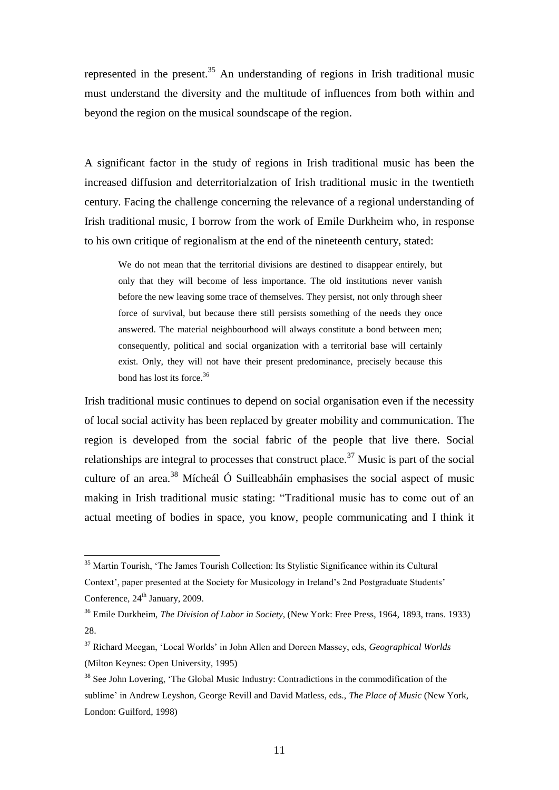represented in the present.<sup>35</sup> An understanding of regions in Irish traditional music must understand the diversity and the multitude of influences from both within and beyond the region on the musical soundscape of the region.

A significant factor in the study of regions in Irish traditional music has been the increased diffusion and deterritorialzation of Irish traditional music in the twentieth century. Facing the challenge concerning the relevance of a regional understanding of Irish traditional music, I borrow from the work of Emile Durkheim who, in response to his own critique of regionalism at the end of the nineteenth century, stated:

We do not mean that the territorial divisions are destined to disappear entirely, but only that they will become of less importance. The old institutions never vanish before the new leaving some trace of themselves. They persist, not only through sheer force of survival, but because there still persists something of the needs they once answered. The material neighbourhood will always constitute a bond between men; consequently, political and social organization with a territorial base will certainly exist. Only, they will not have their present predominance, precisely because this bond has lost its force.<sup>36</sup>

Irish traditional music continues to depend on social organisation even if the necessity of local social activity has been replaced by greater mobility and communication. The region is developed from the social fabric of the people that live there. Social relationships are integral to processes that construct place.<sup>37</sup> Music is part of the social culture of an area. <sup>38</sup> Mícheál Ó Suilleabháin emphasises the social aspect of music making in Irish traditional music stating: "Traditional music has to come out of an actual meeting of bodies in space, you know, people communicating and I think it

<sup>&</sup>lt;sup>35</sup> Martin Tourish, 'The James Tourish Collection: Its Stylistic Significance within its Cultural Context', paper presented at the Society for Musicology in Ireland's 2nd Postgraduate Students' Conference, 24<sup>th</sup> January, 2009.

<sup>36</sup> Emile Durkheim, *The Division of Labor in Society*, (New York: Free Press, 1964, 1893, trans. 1933) 28.

<sup>37</sup> Richard Meegan, "Local Worlds" in John Allen and Doreen Massey, eds, *Geographical Worlds*  (Milton Keynes: Open University, 1995)

<sup>&</sup>lt;sup>38</sup> See John Lovering, 'The Global Music Industry: Contradictions in the commodification of the sublime" in Andrew Leyshon, George Revill and David Matless, eds., *The Place of Music* (New York, London: Guilford, 1998)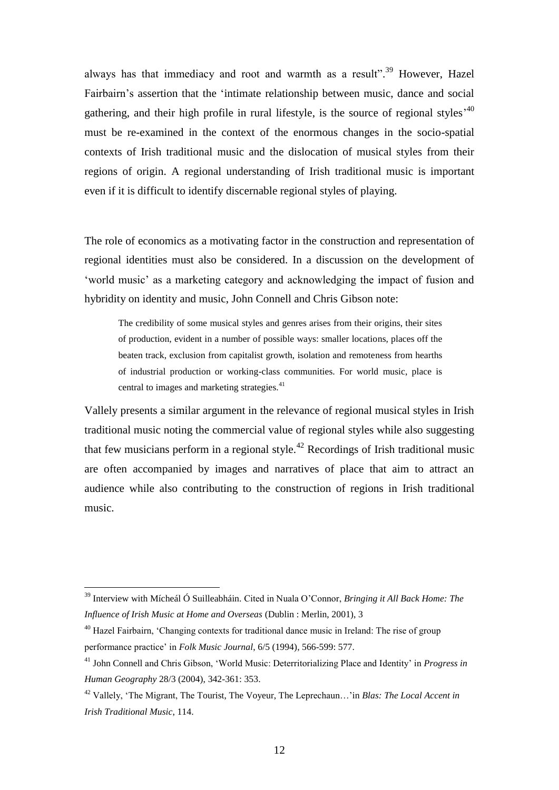always has that immediacy and root and warmth as a result".<sup>39</sup> However, Hazel Fairbairn"s assertion that the "intimate relationship between music, dance and social gathering, and their high profile in rural lifestyle, is the source of regional styles<sup> $,40$ </sup> must be re-examined in the context of the enormous changes in the socio-spatial contexts of Irish traditional music and the dislocation of musical styles from their regions of origin. A regional understanding of Irish traditional music is important even if it is difficult to identify discernable regional styles of playing.

The role of economics as a motivating factor in the construction and representation of regional identities must also be considered. In a discussion on the development of "world music" as a marketing category and acknowledging the impact of fusion and hybridity on identity and music, John Connell and Chris Gibson note:

The credibility of some musical styles and genres arises from their origins, their sites of production, evident in a number of possible ways: smaller locations, places off the beaten track, exclusion from capitalist growth, isolation and remoteness from hearths of industrial production or working-class communities. For world music, place is central to images and marketing strategies.<sup>41</sup>

Vallely presents a similar argument in the relevance of regional musical styles in Irish traditional music noting the commercial value of regional styles while also suggesting that few musicians perform in a regional style.<sup>42</sup> Recordings of Irish traditional music are often accompanied by images and narratives of place that aim to attract an audience while also contributing to the construction of regions in Irish traditional music.

<sup>39</sup> Interview with Mícheál Ó Suilleabháin. Cited in Nuala O"Connor, *Bringing it All Back Home: The Influence of Irish Music at Home and Overseas* (Dublin : Merlin, 2001), 3

<sup>&</sup>lt;sup>40</sup> Hazel Fairbairn, 'Changing contexts for traditional dance music in Ireland: The rise of group performance practice" in *Folk Music Journal*, 6/5 (1994), 566-599: 577.

<sup>&</sup>lt;sup>41</sup> John Connell and Chris Gibson, 'World Music: Deterritorializing Place and Identity' in *Progress in Human Geography* 28/3 (2004), 342-361: 353.

<sup>42</sup> Vallely, "The Migrant, The Tourist, The Voyeur, The Leprechaun…"in *Blas: The Local Accent in Irish Traditional Music*, 114.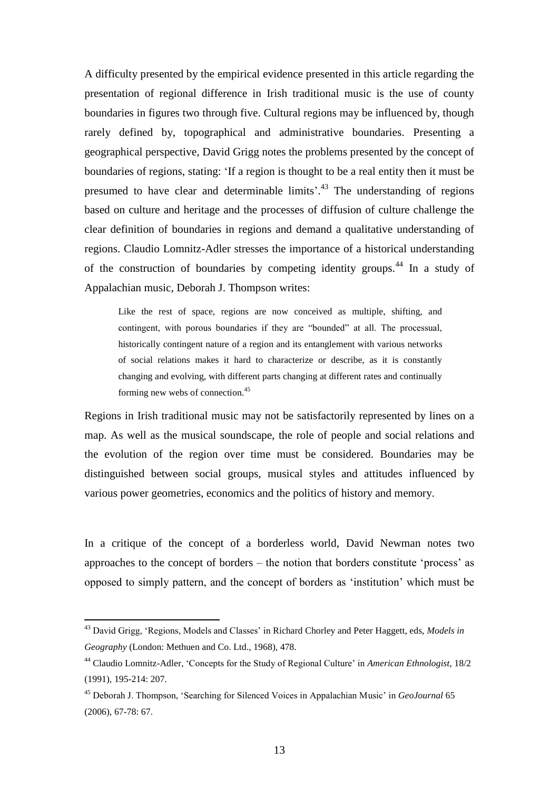A difficulty presented by the empirical evidence presented in this article regarding the presentation of regional difference in Irish traditional music is the use of county boundaries in figures two through five. Cultural regions may be influenced by, though rarely defined by, topographical and administrative boundaries. Presenting a geographical perspective, David Grigg notes the problems presented by the concept of boundaries of regions, stating: "If a region is thought to be a real entity then it must be presumed to have clear and determinable limits<sup>', 43</sup> The understanding of regions based on culture and heritage and the processes of diffusion of culture challenge the clear definition of boundaries in regions and demand a qualitative understanding of regions. Claudio Lomnitz-Adler stresses the importance of a historical understanding of the construction of boundaries by competing identity groups.<sup>44</sup> In a study of Appalachian music, Deborah J. Thompson writes:

Like the rest of space, regions are now conceived as multiple, shifting, and contingent, with porous boundaries if they are "bounded" at all. The processual, historically contingent nature of a region and its entanglement with various networks of social relations makes it hard to characterize or describe, as it is constantly changing and evolving, with different parts changing at different rates and continually forming new webs of connection.<sup>45</sup>

Regions in Irish traditional music may not be satisfactorily represented by lines on a map. As well as the musical soundscape, the role of people and social relations and the evolution of the region over time must be considered. Boundaries may be distinguished between social groups, musical styles and attitudes influenced by various power geometries, economics and the politics of history and memory.

In a critique of the concept of a borderless world, David Newman notes two approaches to the concept of borders – the notion that borders constitute "process" as opposed to simply pattern, and the concept of borders as "institution" which must be

<sup>&</sup>lt;sup>43</sup> David Grigg, 'Regions, Models and Classes' in Richard Chorley and Peter Haggett, eds, *Models in Geography* (London: Methuen and Co. Ltd., 1968), 478.

<sup>44</sup> Claudio Lomnitz-Adler, "Concepts for the Study of Regional Culture" in *American Ethnologist*, 18/2 (1991), 195-214: 207.

<sup>45</sup> Deborah J. Thompson, "Searching for Silenced Voices in Appalachian Music" in *GeoJournal* 65 (2006), 67-78: 67.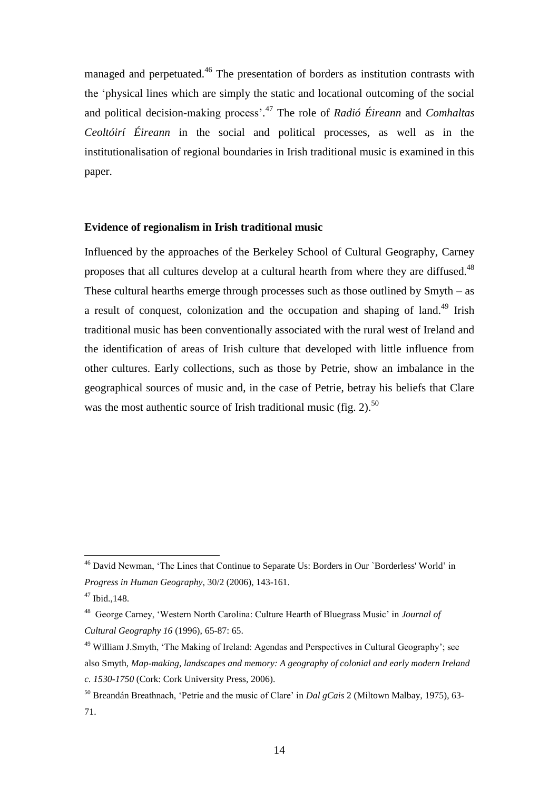managed and perpetuated.<sup>46</sup> The presentation of borders as institution contrasts with the "physical lines which are simply the static and locational outcoming of the social and political decision-making process'.<sup>47</sup> The role of *Radió Éireann* and *Comhaltas Ceoltóirí Éireann* in the social and political processes, as well as in the institutionalisation of regional boundaries in Irish traditional music is examined in this paper.

## **Evidence of regionalism in Irish traditional music**

Influenced by the approaches of the Berkeley School of Cultural Geography, Carney proposes that all cultures develop at a cultural hearth from where they are diffused.<sup>48</sup> These cultural hearths emerge through processes such as those outlined by Smyth – as a result of conquest, colonization and the occupation and shaping of land.<sup>49</sup> Irish traditional music has been conventionally associated with the rural west of Ireland and the identification of areas of Irish culture that developed with little influence from other cultures. Early collections, such as those by Petrie, show an imbalance in the geographical sources of music and, in the case of Petrie, betray his beliefs that Clare was the most authentic source of Irish traditional music (fig. 2).<sup>50</sup>

<sup>46</sup> David Newman, "The Lines that Continue to Separate Us: Borders in Our `Borderless' World" in *Progress in Human Geography*, 30/2 (2006), 143-161.

<sup>47</sup> Ibid.,148.

<sup>48</sup> George Carney, "Western North Carolina: Culture Hearth of Bluegrass Music" in *Journal of Cultural Geography 16* (1996), 65-87: 65.

<sup>49</sup> William J.Smyth, "The Making of Ireland: Agendas and Perspectives in Cultural Geography"; see also Smyth, *Map-making, landscapes and memory: A geography of colonial and early modern Ireland c. 1530-1750* (Cork: Cork University Press, 2006).

<sup>&</sup>lt;sup>50</sup> Breandán Breathnach, 'Petrie and the music of Clare' in *Dal gCais* 2 (Miltown Malbay, 1975), 63-71.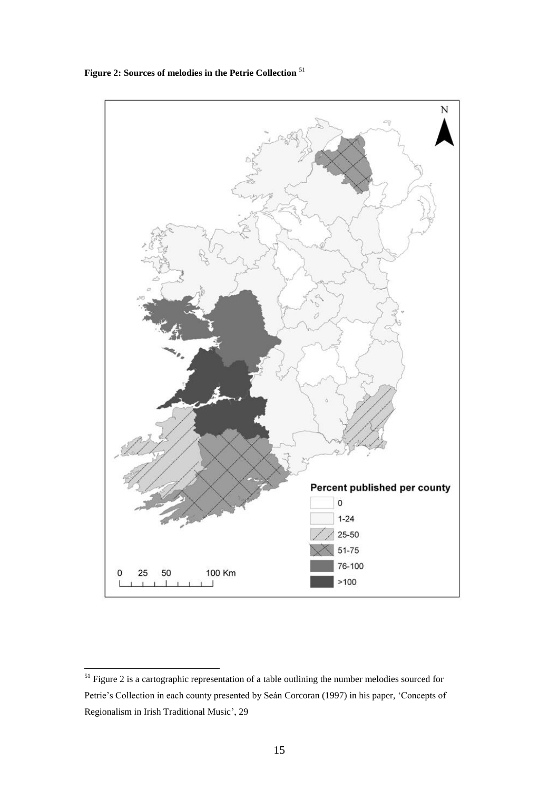**Figure 2: Sources of melodies in the Petrie Collection** <sup>51</sup>



 $51$  Figure 2 is a cartographic representation of a table outlining the number melodies sourced for Petrie's Collection in each county presented by Seán Corcoran (1997) in his paper, 'Concepts of Regionalism in Irish Traditional Music", 29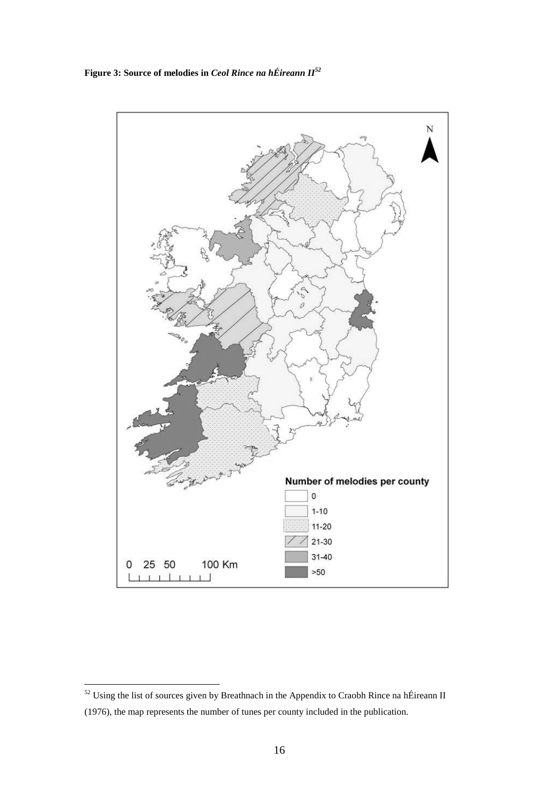**Figure 3: Source of melodies in** *Ceol Rince na hÉireann II<sup>52</sup>*



 $52$  Using the list of sources given by Breathnach in the Appendix to Craobh Rince na hÉireann II (1976), the map represents the number of tunes per county included in the publication.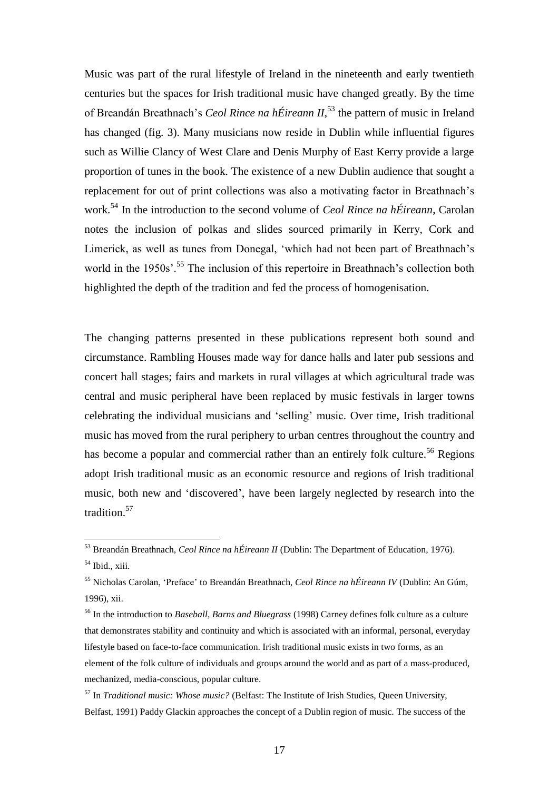Music was part of the rural lifestyle of Ireland in the nineteenth and early twentieth centuries but the spaces for Irish traditional music have changed greatly. By the time of Breandán Breathnach's *Ceol Rince na hÉireann II*,<sup>53</sup> the pattern of music in Ireland has changed (fig. 3). Many musicians now reside in Dublin while influential figures such as Willie Clancy of West Clare and Denis Murphy of East Kerry provide a large proportion of tunes in the book. The existence of a new Dublin audience that sought a replacement for out of print collections was also a motivating factor in Breathnach"s work.<sup>54</sup> In the introduction to the second volume of *Ceol Rince na hÉireann*, Carolan notes the inclusion of polkas and slides sourced primarily in Kerry, Cork and Limerick, as well as tunes from Donegal, "which had not been part of Breathnach"s world in the 1950s'.<sup>55</sup> The inclusion of this repertoire in Breathnach's collection both highlighted the depth of the tradition and fed the process of homogenisation.

The changing patterns presented in these publications represent both sound and circumstance. Rambling Houses made way for dance halls and later pub sessions and concert hall stages; fairs and markets in rural villages at which agricultural trade was central and music peripheral have been replaced by music festivals in larger towns celebrating the individual musicians and "selling" music. Over time, Irish traditional music has moved from the rural periphery to urban centres throughout the country and has become a popular and commercial rather than an entirely folk culture.<sup>56</sup> Regions adopt Irish traditional music as an economic resource and regions of Irish traditional music, both new and "discovered", have been largely neglected by research into the tradition.<sup>57</sup>

<sup>53</sup> Breandán Breathnach, *Ceol Rince na hÉireann II* (Dublin: The Department of Education, 1976).

 $<sup>54</sup>$  Ibid., xiii.</sup>

<sup>55</sup> Nicholas Carolan, "Preface" to Breandán Breathnach, *Ceol Rince na hÉireann IV* (Dublin: An Gúm, 1996), xii.

<sup>56</sup> In the introduction to *Baseball, Barns and Bluegrass* (1998) Carney defines folk culture as a culture that demonstrates stability and continuity and which is associated with an informal, personal, everyday lifestyle based on face-to-face communication. Irish traditional music exists in two forms, as an element of the folk culture of individuals and groups around the world and as part of a mass-produced, mechanized, media-conscious, popular culture.

<sup>57</sup> In *Traditional music: Whose music?* (Belfast: The Institute of Irish Studies, Queen University, Belfast, 1991) Paddy Glackin approaches the concept of a Dublin region of music. The success of the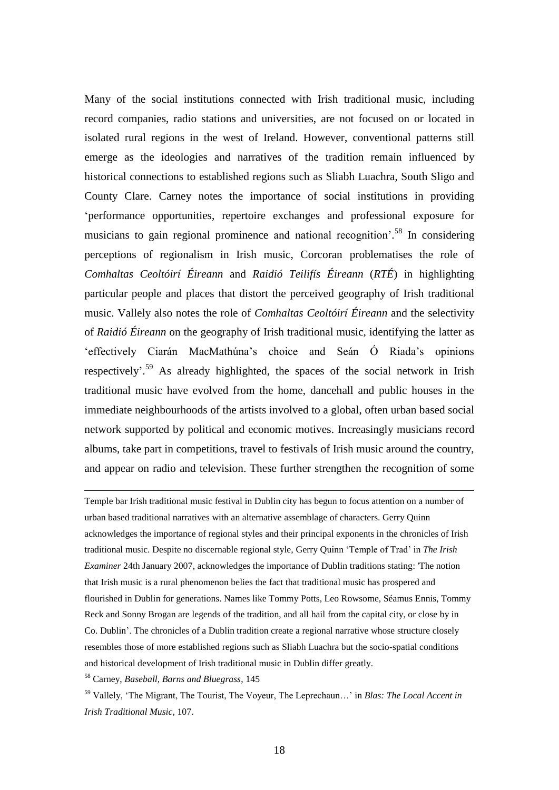Many of the social institutions connected with Irish traditional music, including record companies, radio stations and universities, are not focused on or located in isolated rural regions in the west of Ireland. However, conventional patterns still emerge as the ideologies and narratives of the tradition remain influenced by historical connections to established regions such as Sliabh Luachra, South Sligo and County Clare. Carney notes the importance of social institutions in providing "performance opportunities, repertoire exchanges and professional exposure for musicians to gain regional prominence and national recognition<sup>558</sup> In considering perceptions of regionalism in Irish music, Corcoran problematises the role of *Comhaltas Ceoltóirí Éireann* and *Raidió Teilifís Éireann* (*RTÉ*) in highlighting particular people and places that distort the perceived geography of Irish traditional music. Vallely also notes the role of *Comhaltas Ceoltóirí Éireann* and the selectivity of *Raidió Éireann* on the geography of Irish traditional music, identifying the latter as "effectively Ciarán MacMathúna"s choice and Seán Ó Riada"s opinions respectively<sup>' 59</sup> As already highlighted, the spaces of the social network in Irish traditional music have evolved from the home, dancehall and public houses in the immediate neighbourhoods of the artists involved to a global, often urban based social network supported by political and economic motives. Increasingly musicians record albums, take part in competitions, travel to festivals of Irish music around the country, and appear on radio and television. These further strengthen the recognition of some

Temple bar Irish traditional music festival in Dublin city has begun to focus attention on a number of urban based traditional narratives with an alternative assemblage of characters. Gerry Quinn acknowledges the importance of regional styles and their principal exponents in the chronicles of Irish traditional music. Despite no discernable regional style, Gerry Quinn "Temple of Trad" in *The Irish Examiner* 24th January 2007, acknowledges the importance of Dublin traditions stating: 'The notion that Irish music is a rural phenomenon belies the fact that traditional music has prospered and flourished in Dublin for generations. Names like Tommy Potts, Leo Rowsome, Séamus Ennis, Tommy Reck and Sonny Brogan are legends of the tradition, and all hail from the capital city, or close by in Co. Dublin". The chronicles of a Dublin tradition create a regional narrative whose structure closely resembles those of more established regions such as Sliabh Luachra but the socio-spatial conditions and historical development of Irish traditional music in Dublin differ greatly.

<sup>58</sup> Carney, *Baseball, Barns and Bluegrass*, 145

<sup>59</sup> Vallely, "The Migrant, The Tourist, The Voyeur, The Leprechaun…" in *Blas: The Local Accent in Irish Traditional Music*, 107.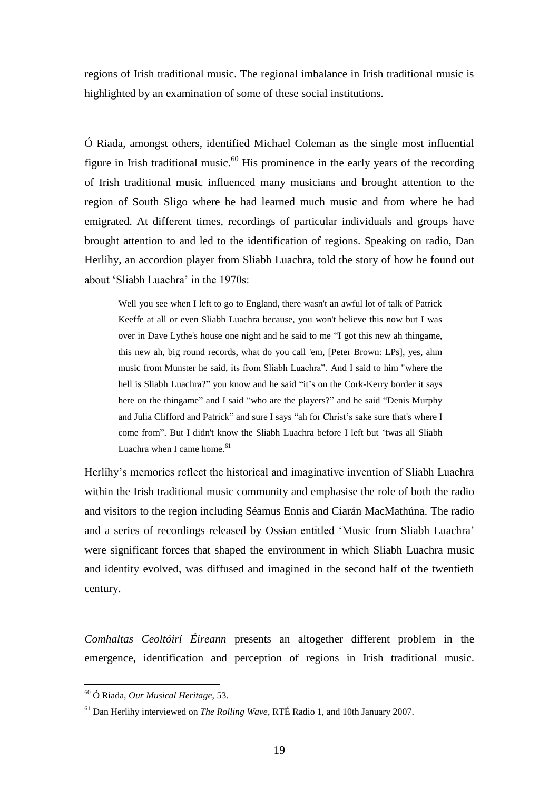regions of Irish traditional music. The regional imbalance in Irish traditional music is highlighted by an examination of some of these social institutions.

Ó Riada, amongst others, identified Michael Coleman as the single most influential figure in Irish traditional music.<sup>60</sup> His prominence in the early years of the recording of Irish traditional music influenced many musicians and brought attention to the region of South Sligo where he had learned much music and from where he had emigrated. At different times, recordings of particular individuals and groups have brought attention to and led to the identification of regions. Speaking on radio, Dan Herlihy, an accordion player from Sliabh Luachra, told the story of how he found out about "Sliabh Luachra" in the 1970s:

Well you see when I left to go to England, there wasn't an awful lot of talk of Patrick Keeffe at all or even Sliabh Luachra because, you won't believe this now but I was over in Dave Lythe's house one night and he said to me "I got this new ah thingame, this new ah, big round records, what do you call 'em, [Peter Brown: LPs], yes, ahm music from Munster he said, its from Sliabh Luachra". And I said to him "where the hell is Sliabh Luachra?" you know and he said "it's on the Cork-Kerry border it says here on the thingame" and I said "who are the players?" and he said "Denis Murphy and Julia Clifford and Patrick" and sure I says "ah for Christ's sake sure that's where I come from". But I didn't know the Sliabh Luachra before I left but "twas all Sliabh Luachra when I came home. $61$ 

Herlihy"s memories reflect the historical and imaginative invention of Sliabh Luachra within the Irish traditional music community and emphasise the role of both the radio and visitors to the region including Séamus Ennis and Ciarán MacMathúna. The radio and a series of recordings released by Ossian entitled "Music from Sliabh Luachra" were significant forces that shaped the environment in which Sliabh Luachra music and identity evolved, was diffused and imagined in the second half of the twentieth century.

*Comhaltas Ceoltóirí Éireann* presents an altogether different problem in the emergence, identification and perception of regions in Irish traditional music.

<sup>60</sup> Ó Riada, *Our Musical Heritage*, 53.

<sup>61</sup> Dan Herlihy interviewed on *The Rolling Wave*, RTÉ Radio 1, and 10th January 2007.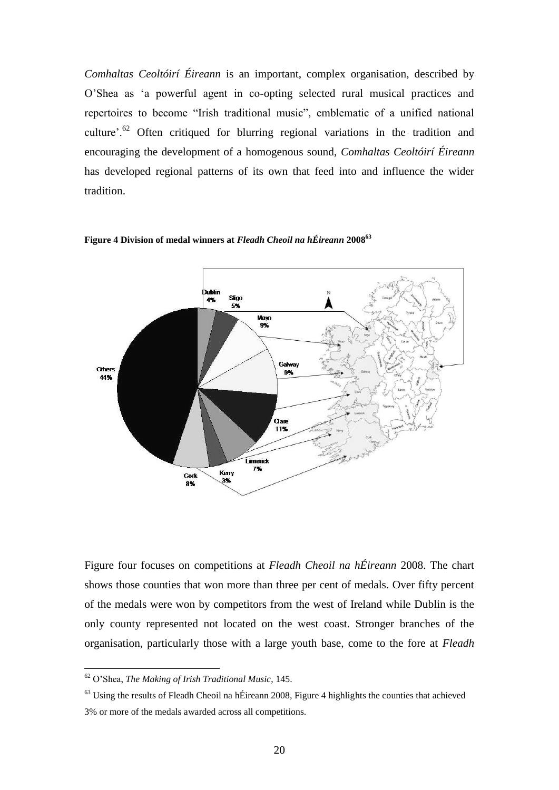*Comhaltas Ceoltóirí Éireann* is an important, complex organisation, described by O"Shea as "a powerful agent in co-opting selected rural musical practices and repertoires to become "Irish traditional music", emblematic of a unified national culture'.<sup>62</sup> Often critiqued for blurring regional variations in the tradition and encouraging the development of a homogenous sound, *Comhaltas Ceoltóirí Éireann* has developed regional patterns of its own that feed into and influence the wider tradition.



**Figure 4 Division of medal winners at** *Fleadh Cheoil na hÉireann* **2008<sup>63</sup>**

Figure four focuses on competitions at *Fleadh Cheoil na hÉireann* 2008. The chart shows those counties that won more than three per cent of medals. Over fifty percent of the medals were won by competitors from the west of Ireland while Dublin is the only county represented not located on the west coast. Stronger branches of the organisation, particularly those with a large youth base, come to the fore at *Fleadh* 

<sup>62</sup> O"Shea, *The Making of Irish Traditional Music*, 145.

 $63$  Using the results of Fleadh Cheoil na hÉireann 2008, Figure 4 highlights the counties that achieved 3% or more of the medals awarded across all competitions.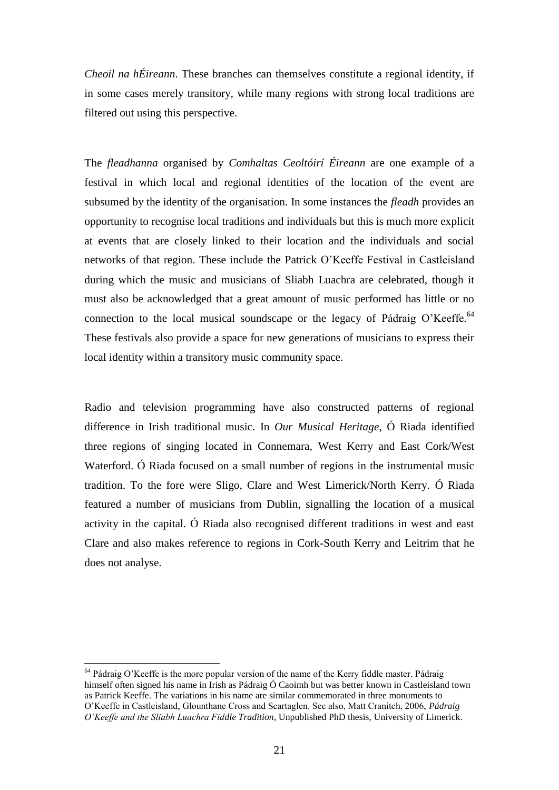*Cheoil na hÉireann*. These branches can themselves constitute a regional identity, if in some cases merely transitory, while many regions with strong local traditions are filtered out using this perspective.

The *fleadhanna* organised by *Comhaltas Ceoltóirí Éireann* are one example of a festival in which local and regional identities of the location of the event are subsumed by the identity of the organisation. In some instances the *fleadh* provides an opportunity to recognise local traditions and individuals but this is much more explicit at events that are closely linked to their location and the individuals and social networks of that region. These include the Patrick O"Keeffe Festival in Castleisland during which the music and musicians of Sliabh Luachra are celebrated, though it must also be acknowledged that a great amount of music performed has little or no connection to the local musical soundscape or the legacy of Pádraig O'Keeffe.<sup>64</sup> These festivals also provide a space for new generations of musicians to express their local identity within a transitory music community space.

Radio and television programming have also constructed patterns of regional difference in Irish traditional music. In *Our Musical Heritage*, Ó Riada identified three regions of singing located in Connemara, West Kerry and East Cork/West Waterford. Ó Riada focused on a small number of regions in the instrumental music tradition. To the fore were Sligo, Clare and West Limerick/North Kerry. Ó Riada featured a number of musicians from Dublin, signalling the location of a musical activity in the capital. Ó Riada also recognised different traditions in west and east Clare and also makes reference to regions in Cork-South Kerry and Leitrim that he does not analyse.

<sup>&</sup>lt;sup>64</sup> Pádraig O'Keeffe is the more popular version of the name of the Kerry fiddle master. Pádraig himself often signed his name in Irish as Pádraig Ó Caoimh but was better known in Castleisland town as Patrick Keeffe. The variations in his name are similar commemorated in three monuments to O"Keeffe in Castleisland, Glounthane Cross and Scartaglen. See also, Matt Cranitch, 2006, *Pádraig O'Keeffe and the Sliabh Luachra Fiddle Tradition*, Unpublished PhD thesis, University of Limerick.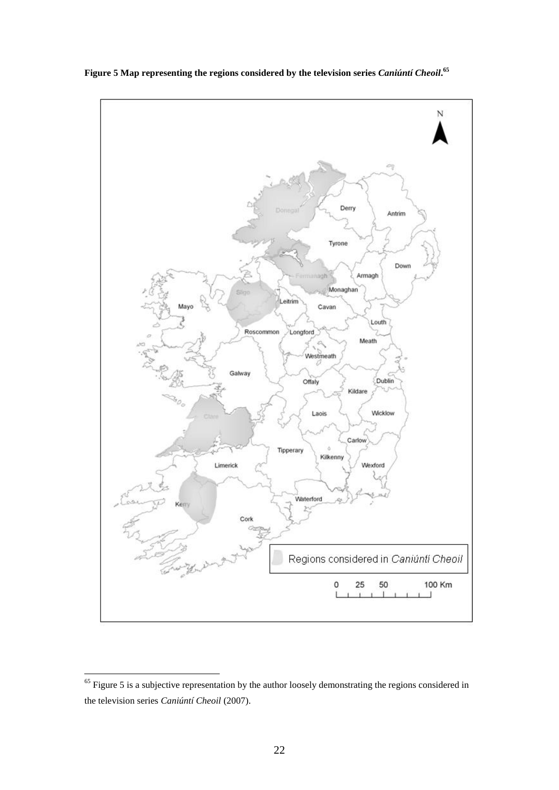

**Figure 5 Map representing the regions considered by the television series** *Caniúntí Cheoil***. 65**

 $65$  Figure 5 is a subjective representation by the author loosely demonstrating the regions considered in the television series *Caniúntí Cheoil* (2007).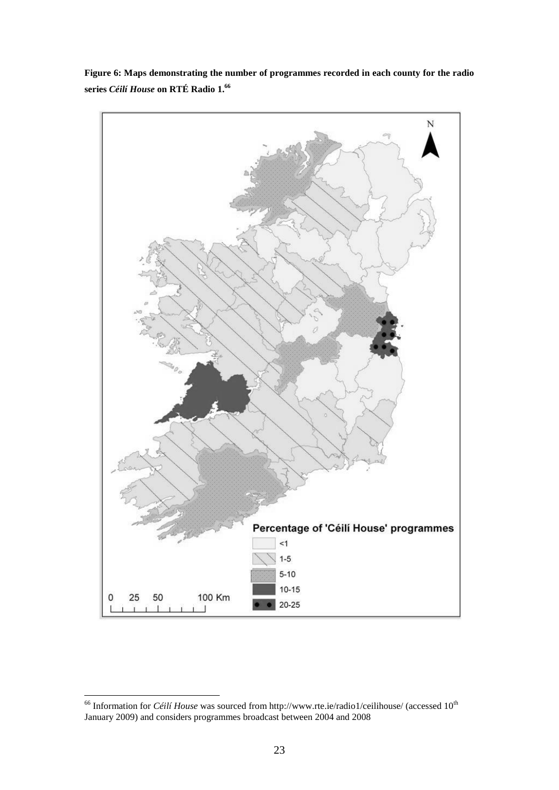

**Figure 6: Maps demonstrating the number of programmes recorded in each county for the radio series** *Céilí House* **on RTÉ Radio 1. 66**

<sup>&</sup>lt;sup>66</sup> Information for *Céilí House* was sourced from http:/[/www.rte.ie/](http://www.rte.ie/)radio1/ceilihouse/ (accessed 10<sup>th</sup> January 2009) and considers programmes broadcast between 2004 and 2008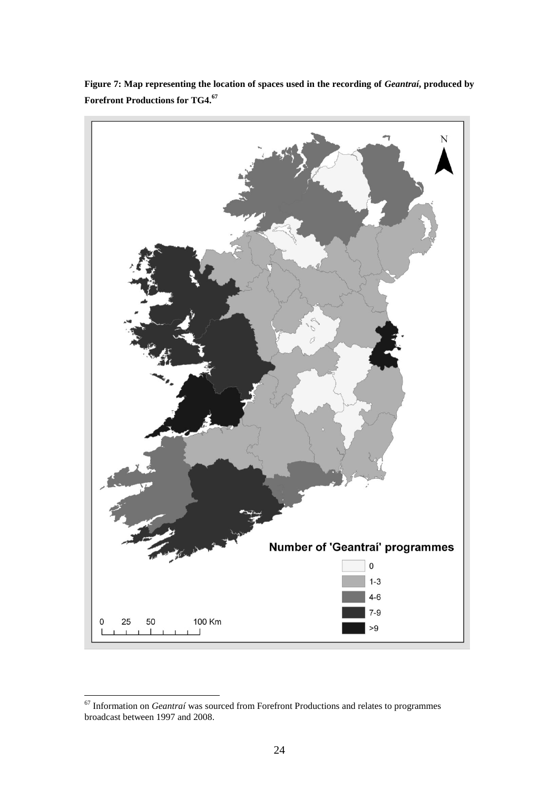

**Figure 7: Map representing the location of spaces used in the recording of** *Geantraí***, produced by Forefront Productions for TG4.<sup>67</sup>**

<sup>1</sup> <sup>67</sup> Information on *Geantraí* was sourced from Forefront Productions and relates to programmes broadcast between 1997 and 2008.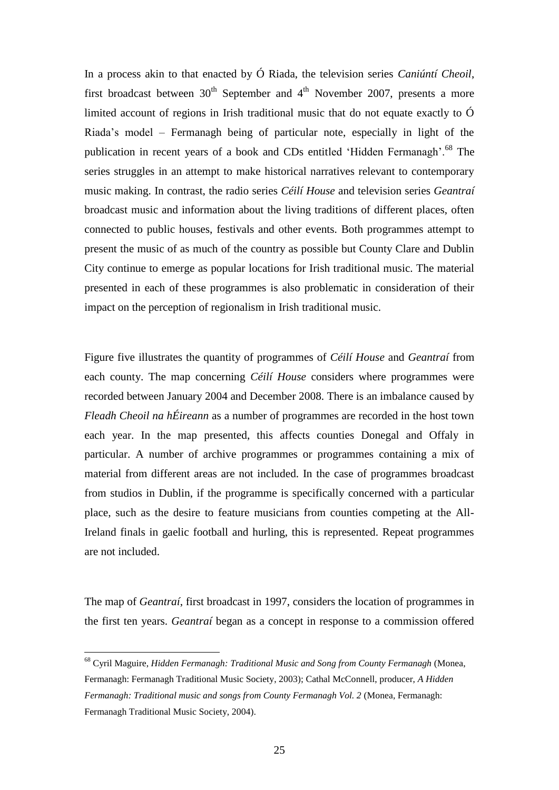In a process akin to that enacted by Ó Riada, the television series *Caniúntí Cheoil*, first broadcast between  $30<sup>th</sup>$  September and  $4<sup>th</sup>$  November 2007, presents a more limited account of regions in Irish traditional music that do not equate exactly to  $\acute{O}$ Riada"s model – Fermanagh being of particular note, especially in light of the publication in recent years of a book and CDs entitled 'Hidden Fermanagh'.<sup>68</sup> The series struggles in an attempt to make historical narratives relevant to contemporary music making. In contrast, the radio series *Céilí House* and television series *Geantraí*  broadcast music and information about the living traditions of different places, often connected to public houses, festivals and other events. Both programmes attempt to present the music of as much of the country as possible but County Clare and Dublin City continue to emerge as popular locations for Irish traditional music. The material presented in each of these programmes is also problematic in consideration of their impact on the perception of regionalism in Irish traditional music.

Figure five illustrates the quantity of programmes of *Céilí House* and *Geantraí* from each county. The map concerning *Céilí House* considers where programmes were recorded between January 2004 and December 2008. There is an imbalance caused by *Fleadh Cheoil na hÉireann* as a number of programmes are recorded in the host town each year. In the map presented, this affects counties Donegal and Offaly in particular. A number of archive programmes or programmes containing a mix of material from different areas are not included. In the case of programmes broadcast from studios in Dublin, if the programme is specifically concerned with a particular place, such as the desire to feature musicians from counties competing at the All-Ireland finals in gaelic football and hurling, this is represented. Repeat programmes are not included.

The map of *Geantraí*, first broadcast in 1997, considers the location of programmes in the first ten years. *Geantraí* began as a concept in response to a commission offered

<sup>68</sup> Cyril Maguire, *Hidden Fermanagh: Traditional Music and Song from County Fermanagh* (Monea, Fermanagh: Fermanagh Traditional Music Society, 2003); Cathal McConnell, producer, *A Hidden Fermanagh: Traditional music and songs from County Fermanagh Vol. 2* (Monea, Fermanagh: Fermanagh Traditional Music Society, 2004).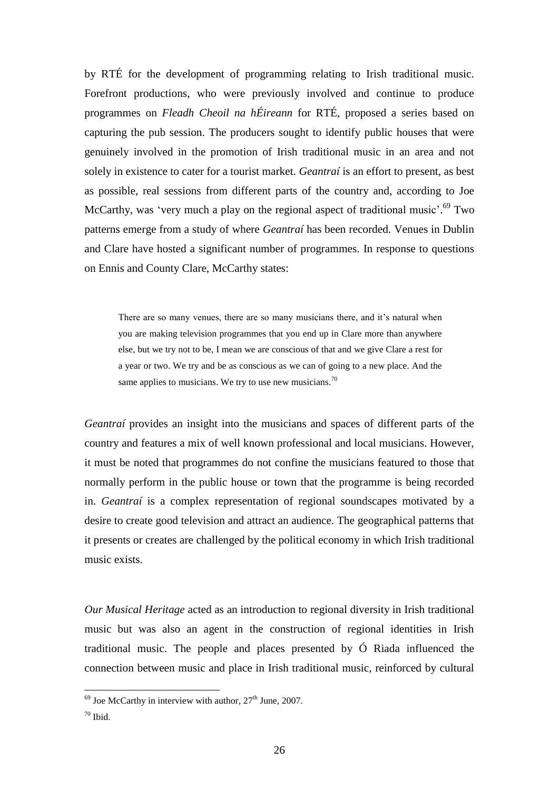by RTÉ for the development of programming relating to Irish traditional music. Forefront productions, who were previously involved and continue to produce programmes on *Fleadh Cheoil na hÉireann* for RTÉ, proposed a series based on capturing the pub session. The producers sought to identify public houses that were genuinely involved in the promotion of Irish traditional music in an area and not solely in existence to cater for a tourist market. *Geantraí* is an effort to present, as best as possible, real sessions from different parts of the country and, according to Joe McCarthy, was 'very much a play on the regional aspect of traditional music'.<sup>69</sup> Two patterns emerge from a study of where *Geantraí* has been recorded. Venues in Dublin and Clare have hosted a significant number of programmes. In response to questions on Ennis and County Clare, McCarthy states:

There are so many venues, there are so many musicians there, and it's natural when you are making television programmes that you end up in Clare more than anywhere else, but we try not to be, I mean we are conscious of that and we give Clare a rest for a year or two. We try and be as conscious as we can of going to a new place. And the same applies to musicians. We try to use new musicians.<sup>70</sup>

*Geantraí* provides an insight into the musicians and spaces of different parts of the country and features a mix of well known professional and local musicians. However, it must be noted that programmes do not confine the musicians featured to those that normally perform in the public house or town that the programme is being recorded in. *Geantraí* is a complex representation of regional soundscapes motivated by a desire to create good television and attract an audience. The geographical patterns that it presents or creates are challenged by the political economy in which Irish traditional music exists.

*Our Musical Heritage* acted as an introduction to regional diversity in Irish traditional music but was also an agent in the construction of regional identities in Irish traditional music. The people and places presented by Ó Riada influenced the connection between music and place in Irish traditional music, reinforced by cultural

 $^{69}$  Joe McCarthy in interview with author,  $27<sup>th</sup>$  June, 2007.

 $70$  Ibid.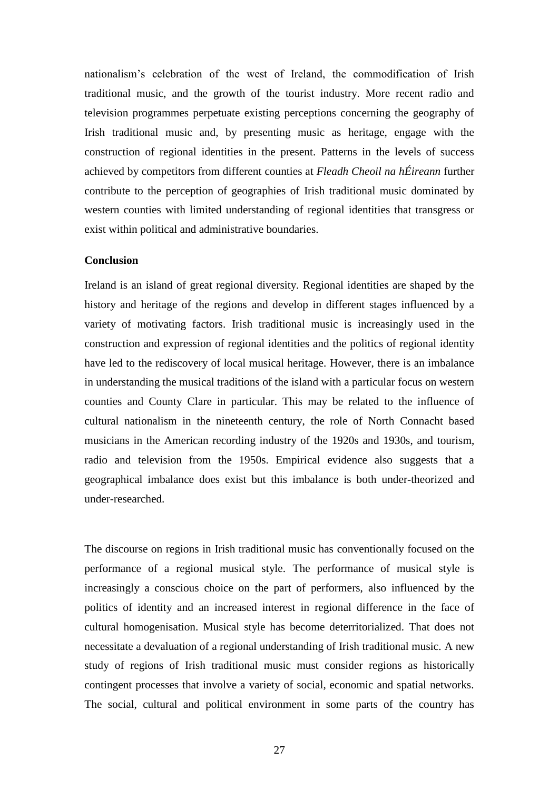nationalism"s celebration of the west of Ireland, the commodification of Irish traditional music, and the growth of the tourist industry. More recent radio and television programmes perpetuate existing perceptions concerning the geography of Irish traditional music and, by presenting music as heritage, engage with the construction of regional identities in the present. Patterns in the levels of success achieved by competitors from different counties at *Fleadh Cheoil na hÉireann* further contribute to the perception of geographies of Irish traditional music dominated by western counties with limited understanding of regional identities that transgress or exist within political and administrative boundaries.

## **Conclusion**

Ireland is an island of great regional diversity. Regional identities are shaped by the history and heritage of the regions and develop in different stages influenced by a variety of motivating factors. Irish traditional music is increasingly used in the construction and expression of regional identities and the politics of regional identity have led to the rediscovery of local musical heritage. However, there is an imbalance in understanding the musical traditions of the island with a particular focus on western counties and County Clare in particular. This may be related to the influence of cultural nationalism in the nineteenth century, the role of North Connacht based musicians in the American recording industry of the 1920s and 1930s, and tourism, radio and television from the 1950s. Empirical evidence also suggests that a geographical imbalance does exist but this imbalance is both under-theorized and under-researched.

The discourse on regions in Irish traditional music has conventionally focused on the performance of a regional musical style. The performance of musical style is increasingly a conscious choice on the part of performers, also influenced by the politics of identity and an increased interest in regional difference in the face of cultural homogenisation. Musical style has become deterritorialized. That does not necessitate a devaluation of a regional understanding of Irish traditional music. A new study of regions of Irish traditional music must consider regions as historically contingent processes that involve a variety of social, economic and spatial networks. The social, cultural and political environment in some parts of the country has